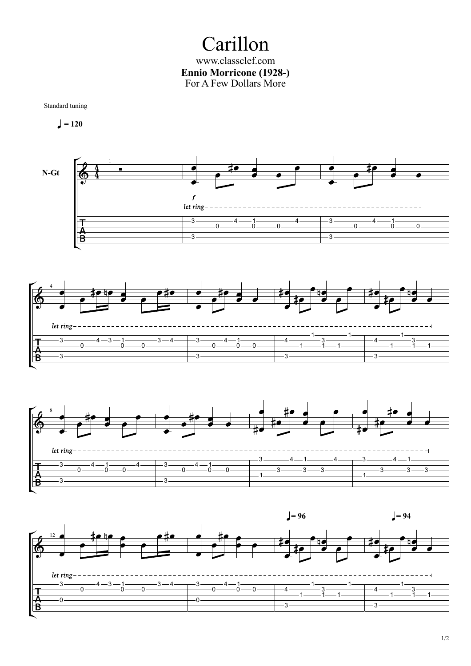Carillon www.classclef.com **Ennio Morricone (1928-)** For A Few Dollars More



$$
\Box = 120
$$